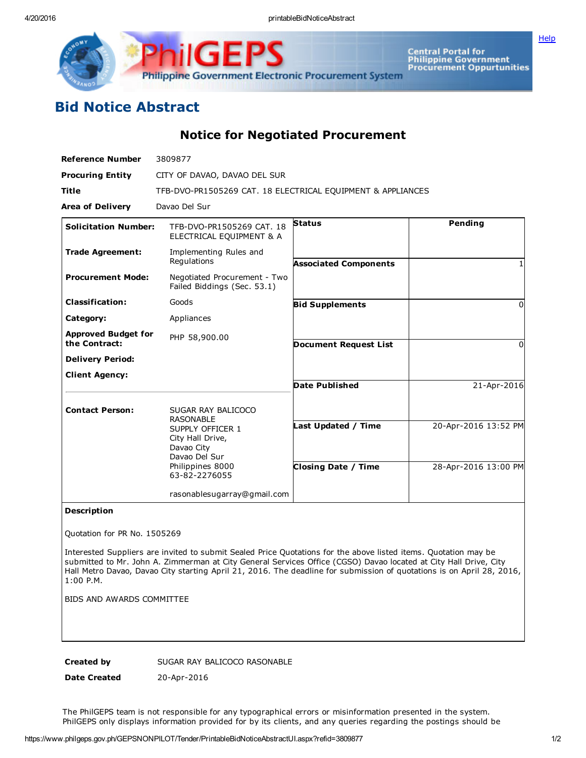4/20/2016 printableBidNoticeAbstract

**[Help](javascript:void(window.open()** 



Central Portal for<br>Philippine Government<br>Procurement Oppurtunities

## Bid Notice Abstract

Notice for Negotiated Procurement

| 3809877                                                                              |                                                 |                                                             |
|--------------------------------------------------------------------------------------|-------------------------------------------------|-------------------------------------------------------------|
| CITY OF DAVAO, DAVAO DEL SUR                                                         |                                                 |                                                             |
|                                                                                      |                                                 |                                                             |
| Davao Del Sur                                                                        |                                                 |                                                             |
| <b>Solicitation Number:</b><br>TFB-DVO-PR1505269 CAT. 18<br>ELECTRICAL EQUIPMENT & A | <b>Status</b>                                   | Pending                                                     |
| Implementing Rules and<br>Regulations                                                | <b>Associated Components</b>                    |                                                             |
| Negotiated Procurement - Two<br>Failed Biddings (Sec. 53.1)                          |                                                 |                                                             |
| Goods                                                                                | <b>Bid Supplements</b>                          | $\Omega$                                                    |
| Appliances                                                                           |                                                 |                                                             |
| <b>Approved Budget for</b><br>PHP 58,900.00                                          | <b>Document Request List</b>                    | O                                                           |
|                                                                                      |                                                 |                                                             |
|                                                                                      |                                                 |                                                             |
|                                                                                      | <b>Date Published</b>                           | 21-Apr-2016                                                 |
| SUGAR RAY BALICOCO                                                                   |                                                 |                                                             |
| SUPPLY OFFICER 1<br>City Hall Drive,<br>Davao City<br>Davao Del Sur                  | Last Updated / Time                             | 20-Apr-2016 13:52 PM                                        |
| Philippines 8000<br>63-82-2276055                                                    | <b>Closing Date / Time</b>                      | 28-Apr-2016 13:00 PM                                        |
|                                                                                      |                                                 |                                                             |
|                                                                                      | <b>RASONABLE</b><br>rasonablesugarray@gmail.com | TFB-DVO-PR1505269 CAT. 18 ELECTRICAL EQUIPMENT & APPLIANCES |

## Description

Quotation for PR No. 1505269

Interested Suppliers are invited to submit Sealed Price Quotations for the above listed items. Quotation may be submitted to Mr. John A. Zimmerman at City General Services Office (CGSO) Davao located at City Hall Drive, City Hall Metro Davao, Davao City starting April 21, 2016. The deadline for submission of quotations is on April 28, 2016, 1:00 P.M.

BIDS AND AWARDS COMMITTEE

Created by SUGAR RAY BALICOCO RASONABLE

Date Created 20-Apr-2016

The PhilGEPS team is not responsible for any typographical errors or misinformation presented in the system. PhilGEPS only displays information provided for by its clients, and any queries regarding the postings should be